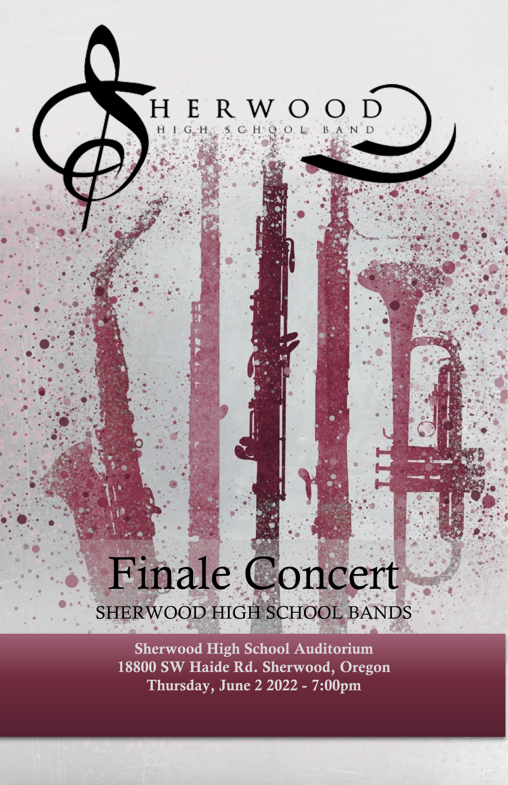$\begin{array}{ll} H\ \text{E}\ \text{R}\ \text{W}\ \text{O} \\\ \text{H}\ \text{I}\ \text{G}\ \text{H}\ \text{S}\ \text{G}\ \text{H}\ \text{Q}\ \text{O}\ \text{L} \end{array}$  $\overline{O}$ **BAND** 

# Finale Concert SHERWOOD HIGH SCHOOL BANDS

Sherwood High School Auditorium 18800 SW Haide Rd. Sherwood, Oregon Thursday, June 2 2022 - 7:00pm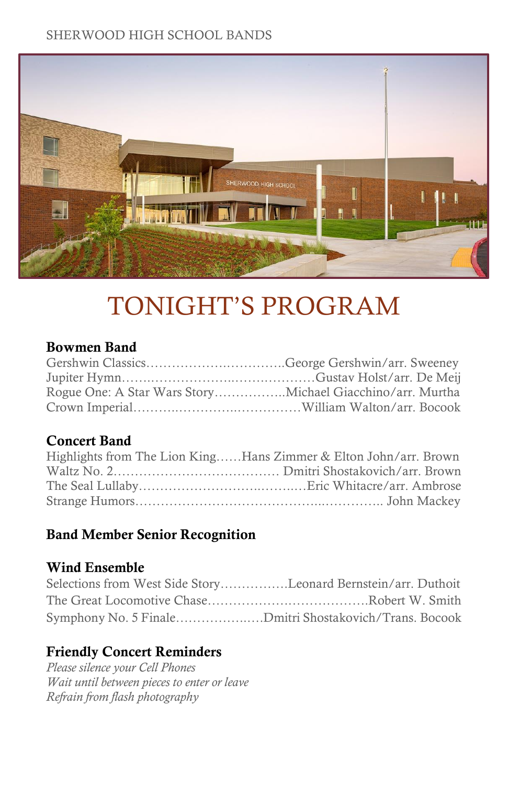

# TONIGHT'S PROGRAM

# Bowmen Band

# Concert Band

| Highlights from The Lion KingHans Zimmer & Elton John/arr. Brown |
|------------------------------------------------------------------|
|                                                                  |
|                                                                  |
|                                                                  |

# Band Member Senior Recognition

# Wind Ensemble

| Selections from West Side StoryLeonard Bernstein/arr. Duthoit |  |
|---------------------------------------------------------------|--|
|                                                               |  |
| Symphony No. 5 FinaleDmitri Shostakovich/Trans. Bocook        |  |

# Friendly Concert Reminders

*Please silence your Cell Phones Wait until between pieces to enter or leave Refrain from flash photography*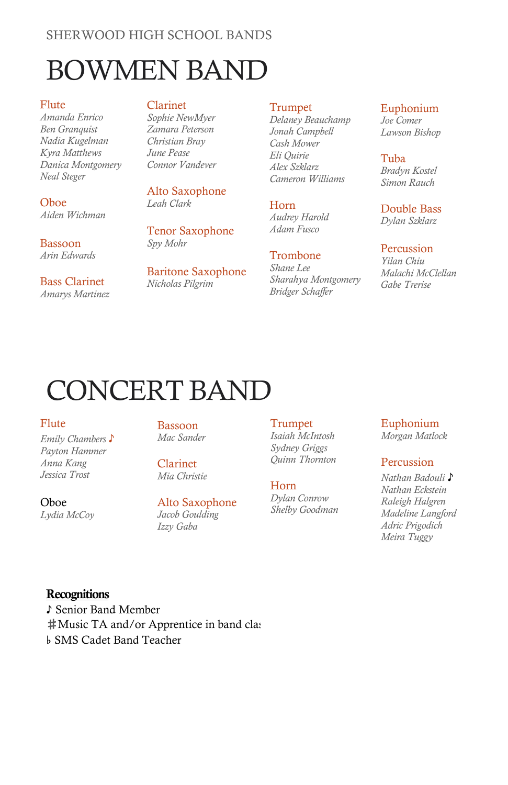# BOWMEN BAND

Flute *Amanda Enrico Ben Granquist Nadia Kugelman Kyra Matthews Danica Montgomery Neal Steger*

Oboe *Aiden Wichman*

#### Bassoon *Arin Edwards*

Bass Clarinet *Amarys Martinez*

### Clarinet

*Sophie NewMyer Zamara Peterson Christian Bray June Pease Connor Vandever*

Alto Saxophone *Leah Clark*

#### Tenor Saxophone *Spy Mohr*

Baritone Saxophone *Nicholas Pilgrim*

#### Trumpet

*Delaney Beauchamp Jonah Campbell Cash Mower Eli Quirie Alex Szklarz Cameron Williams*

### Horn

*Audrey Harold Adam Fusco*

#### Trombone

*Shane Lee Sharahya Montgomery Bridger Schaffer*

#### Euphonium *Joe Comer Lawson Bishop*

Tuba *Bradyn Kostel Simon Rauch*

Double Bass

*Dylan Szklarz*

#### Percussion

*Yilan Chiu Malachi McClellan Gabe Trerise*

# CONCERT BAND

#### Flute

Oboe *Lydia McCoy*

*Emily Chambers* ♪ *Payton Hammer Anna Kang Jessica Trost*

Bassoon *Mac Sander*

Clarinet *Mia Christie*

#### Alto Saxophone *Jacob Goulding Izzy Gaba*

#### **Trumpet** *Isaiah McIntosh Sydney Griggs*

*Quinn Thornton*

#### Horn

*Dylan Conrow Shelby Goodman*

# Euphonium

*Morgan Matlock*

### Percussion

*Nathan Badouli* ♪ *Nathan Eckstein Raleigh Halgren Madeline Langford Adric Prigodich Meira Tuggy*

## **Recognitions**

♪ Senior Band Member **‡Music TA and/or Apprentice in band class** ♭ SMS Cadet Band Teacher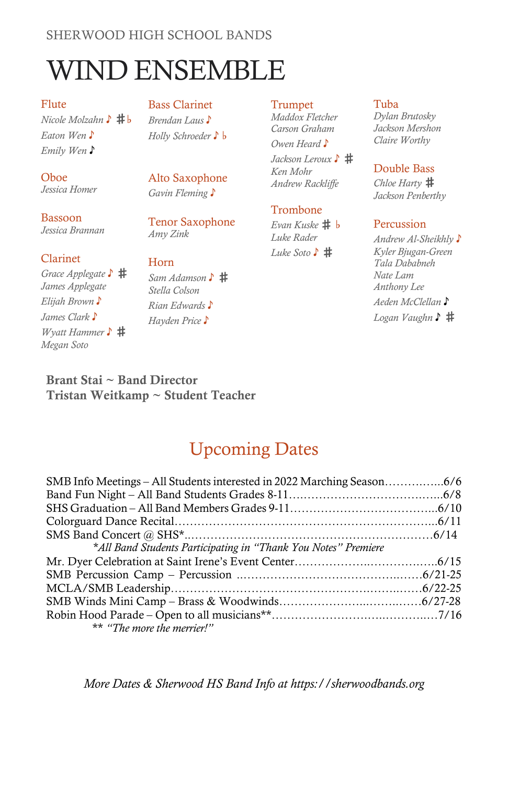# WIND ENSEMBLE

Flute *Nicole Molzahn* ♪ # b *Eaton Wen* ♪ *Emily Wen* ♪

#### Bass Clarinet

*Brendan Laus* ♪ *Holly Schroeder* ♪ ♭

Alto Saxophone *Gavin Fleming* ♪

Tenor Saxophone *Amy Zink*

Oboe *Jessica Homer*

Bassoon *Jessica Brannan*

#### Clarinet

*Grace Applegate* ♪ ♯ *James Applegate Elijah Brown* ♪ *James Clark* ♪ *Wyatt Hammer* ♪ # *Megan Soto*

Horn *Sam Adamson* ♪ ♯ *Stella Colson Rian Edwards* ♪ *Hayden Price* ♪

#### Trumpet

*Maddox Fletcher Carson Graham Owen Heard* ♪

*Jackson Leroux* ♪ ♯ *Ken Mohr Andrew Rackliffe*

### Trombone

*Evan Kuske* ♯ ♭ *Luke Rader Luke Soto* ♪ ♯

#### Tuba *Dylan Brutosky*

*Jackson Mershon Claire Worthy* 

### Double Bass

*Chloe Harty* ♯ *Jackson Penberthy*

### Percussion

*Andrew Al-Sheikhly* ♪ *Kyler Bjugan-Green Tala Dababneh Nate Lam Anthony Lee Aeden McClellan* ♪ *Logan Vaughn* ♪ ♯

Brant Stai ~ Band Director Tristan Weitkamp ~ Student Teacher

# Upcoming Dates

| *All Band Students Participating in "Thank You Notes" Premiere |  |
|----------------------------------------------------------------|--|
|                                                                |  |
|                                                                |  |
|                                                                |  |
|                                                                |  |
|                                                                |  |
| ** "The more the merrier!"                                     |  |

*More Dates & Sherwood HS Band Info at https://sherwoodbands.org*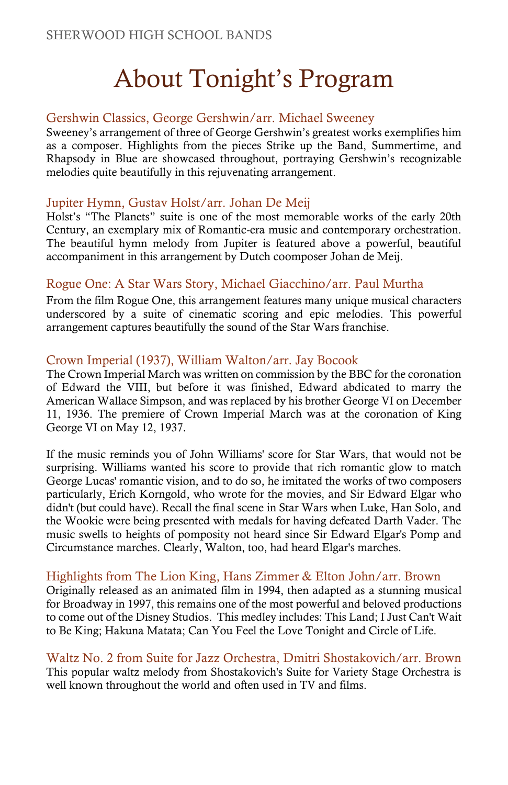# About Tonight's Program

# Gershwin Classics, George Gershwin/arr. Michael Sweeney

Sweeney's arrangement of three of George Gershwin's greatest works exemplifies him as a composer. Highlights from the pieces Strike up the Band, Summertime, and Rhapsody in Blue are showcased throughout, portraying Gershwin's recognizable melodies quite beautifully in this rejuvenating arrangement.

# Jupiter Hymn, Gustav Holst/arr. Johan De Meij

Holst's "The Planets" suite is one of the most memorable works of the early 20th Century, an exemplary mix of Romantic-era music and contemporary orchestration. The beautiful hymn melody from Jupiter is featured above a powerful, beautiful accompaniment in this arrangement by Dutch coomposer Johan de Meij.

# Rogue One: A Star Wars Story, Michael Giacchino/arr. Paul Murtha

From the film Rogue One, this arrangement features many unique musical characters underscored by a suite of cinematic scoring and epic melodies. This powerful arrangement captures beautifully the sound of the Star Wars franchise.

# Crown Imperial (1937), William Walton/arr. Jay Bocook

The Crown Imperial March was written on commission by the BBC for the coronation of Edward the VIII, but before it was finished, Edward abdicated to marry the American Wallace Simpson, and was replaced by his brother George VI on December 11, 1936. The premiere of Crown Imperial March was at the coronation of King George VI on May 12, 1937.

If the music reminds you of John Williams' score for Star Wars, that would not be surprising. Williams wanted his score to provide that rich romantic glow to match George Lucas' romantic vision, and to do so, he imitated the works of two composers particularly, Erich Korngold, who wrote for the movies, and Sir Edward Elgar who didn't (but could have). Recall the final scene in Star Wars when Luke, Han Solo, and the Wookie were being presented with medals for having defeated Darth Vader. The music swells to heights of pomposity not heard since Sir Edward Elgar's Pomp and Circumstance marches. Clearly, Walton, too, had heard Elgar's marches.

# Highlights from The Lion King, Hans Zimmer & Elton John/arr. Brown

Originally released as an animated film in 1994, then adapted as a stunning musical for Broadway in 1997, this remains one of the most powerful and beloved productions to come out of the Disney Studios. This medley includes: This Land; I Just Can't Wait to Be King; Hakuna Matata; Can You Feel the Love Tonight and Circle of Life.

Waltz No. 2 from Suite for Jazz Orchestra, Dmitri Shostakovich/arr. Brown This popular waltz melody from Shostakovich's Suite for Variety Stage Orchestra is well known throughout the world and often used in TV and films.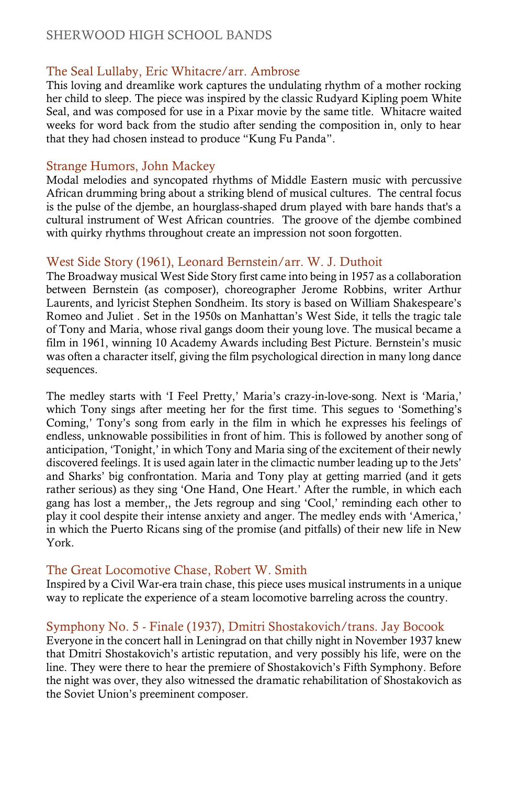# The Seal Lullaby, Eric Whitacre/arr. Ambrose

This loving and dreamlike work captures the undulating rhythm of a mother rocking her child to sleep. The piece was inspired by the classic Rudyard Kipling poem White Seal, and was composed for use in a Pixar movie by the same title. Whitacre waited weeks for word back from the studio after sending the composition in, only to hear that they had chosen instead to produce "Kung Fu Panda".

## Strange Humors, John Mackey

Modal melodies and syncopated rhythms of Middle Eastern music with percussive African drumming bring about a striking blend of musical cultures. The central focus is the pulse of the djembe, an hourglass-shaped drum played with bare hands that's a cultural instrument of West African countries. The groove of the djembe combined with quirky rhythms throughout create an impression not soon forgotten.

## West Side Story (1961), Leonard Bernstein/arr. W. J. Duthoit

The Broadway musical West Side Story first came into being in 1957 as a collaboration between Bernstein (as composer), choreographer Jerome Robbins, writer Arthur Laurents, and lyricist Stephen Sondheim. Its story is based on William Shakespeare's Romeo and Juliet . Set in the 1950s on Manhattan's West Side, it tells the tragic tale of Tony and Maria, whose rival gangs doom their young love. The musical became a film in 1961, winning 10 Academy Awards including Best Picture. Bernstein's music was often a character itself, giving the film psychological direction in many long dance sequences.

The medley starts with 'I Feel Pretty,' Maria's crazy-in-love-song. Next is 'Maria,' which Tony sings after meeting her for the first time. This segues to 'Something's Coming,' Tony's song from early in the film in which he expresses his feelings of endless, unknowable possibilities in front of him. This is followed by another song of anticipation, 'Tonight,' in which Tony and Maria sing of the excitement of their newly discovered feelings. It is used again later in the climactic number leading up to the Jets' and Sharks' big confrontation. Maria and Tony play at getting married (and it gets rather serious) as they sing 'One Hand, One Heart.' After the rumble, in which each gang has lost a member,, the Jets regroup and sing 'Cool,' reminding each other to play it cool despite their intense anxiety and anger. The medley ends with 'America,' in which the Puerto Ricans sing of the promise (and pitfalls) of their new life in New York.

## The Great Locomotive Chase, Robert W. Smith

Inspired by a Civil War-era train chase, this piece uses musical instruments in a unique way to replicate the experience of a steam locomotive barreling across the country.

## Symphony No. 5 - Finale (1937), Dmitri Shostakovich/trans. Jay Bocook

Everyone in the concert hall in Leningrad on that chilly night in November 1937 knew that Dmitri Shostakovich's artistic reputation, and very possibly his life, were on the line. They were there to hear the premiere of Shostakovich's Fifth Symphony. Before the night was over, they also witnessed the dramatic rehabilitation of Shostakovich as the Soviet Union's preeminent composer.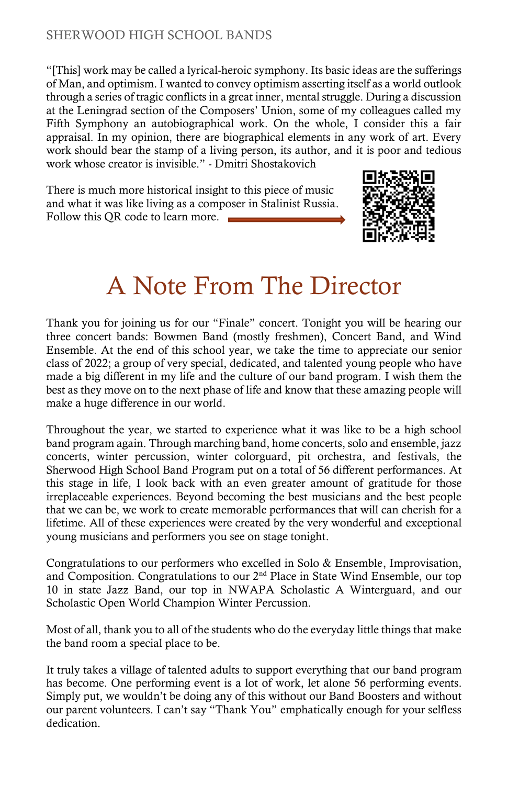"[This] work may be called a lyrical-heroic symphony. Its basic ideas are the sufferings of Man, and optimism. I wanted to convey optimism asserting itself as a world outlook through a series of tragic conflicts in a great inner, mental struggle. During a discussion at the Leningrad section of the Composers' Union, some of my colleagues called my Fifth Symphony an autobiographical work. On the whole, I consider this a fair appraisal. In my opinion, there are biographical elements in any work of art. Every work should bear the stamp of a living person, its author, and it is poor and tedious work whose creator is invisible." - Dmitri Shostakovich

There is much more historical insight to this piece of music and what it was like living as a composer in Stalinist Russia. Follow this QR code to learn more.



# A Note From The Director

Thank you for joining us for our "Finale" concert. Tonight you will be hearing our three concert bands: Bowmen Band (mostly freshmen), Concert Band, and Wind Ensemble. At the end of this school year, we take the time to appreciate our senior class of 2022; a group of very special, dedicated, and talented young people who have made a big different in my life and the culture of our band program. I wish them the best as they move on to the next phase of life and know that these amazing people will make a huge difference in our world.

Throughout the year, we started to experience what it was like to be a high school band program again. Through marching band, home concerts, solo and ensemble, jazz concerts, winter percussion, winter colorguard, pit orchestra, and festivals, the Sherwood High School Band Program put on a total of 56 different performances. At this stage in life, I look back with an even greater amount of gratitude for those irreplaceable experiences. Beyond becoming the best musicians and the best people that we can be, we work to create memorable performances that will can cherish for a lifetime. All of these experiences were created by the very wonderful and exceptional young musicians and performers you see on stage tonight.

Congratulations to our performers who excelled in Solo & Ensemble, Improvisation, and Composition. Congratulations to our 2<sup>nd</sup> Place in State Wind Ensemble, our top 10 in state Jazz Band, our top in NWAPA Scholastic A Winterguard, and our Scholastic Open World Champion Winter Percussion.

Most of all, thank you to all of the students who do the everyday little things that make the band room a special place to be.

It truly takes a village of talented adults to support everything that our band program has become. One performing event is a lot of work, let alone 56 performing events. Simply put, we wouldn't be doing any of this without our Band Boosters and without our parent volunteers. I can't say "Thank You" emphatically enough for your selfless dedication.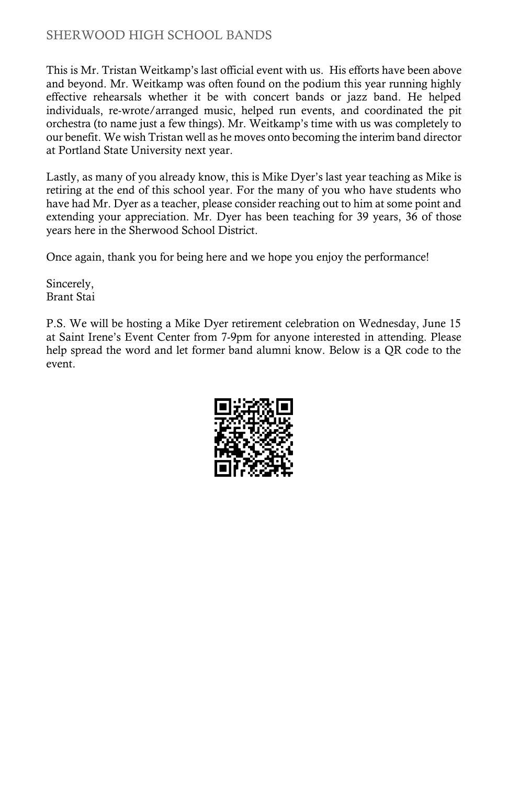This is Mr. Tristan Weitkamp's last official event with us. His efforts have been above and beyond. Mr. Weitkamp was often found on the podium this year running highly effective rehearsals whether it be with concert bands or jazz band. He helped individuals, re-wrote/arranged music, helped run events, and coordinated the pit orchestra (to name just a few things). Mr. Weitkamp's time with us was completely to our benefit. We wish Tristan well as he moves onto becoming the interim band director at Portland State University next year.

Lastly, as many of you already know, this is Mike Dyer's last year teaching as Mike is retiring at the end of this school year. For the many of you who have students who have had Mr. Dyer as a teacher, please consider reaching out to him at some point and extending your appreciation. Mr. Dyer has been teaching for 39 years, 36 of those years here in the Sherwood School District.

Once again, thank you for being here and we hope you enjoy the performance!

Sincerely, Brant Stai

P.S. We will be hosting a Mike Dyer retirement celebration on Wednesday, June 15 at Saint Irene's Event Center from 7-9pm for anyone interested in attending. Please help spread the word and let former band alumni know. Below is a QR code to the event.

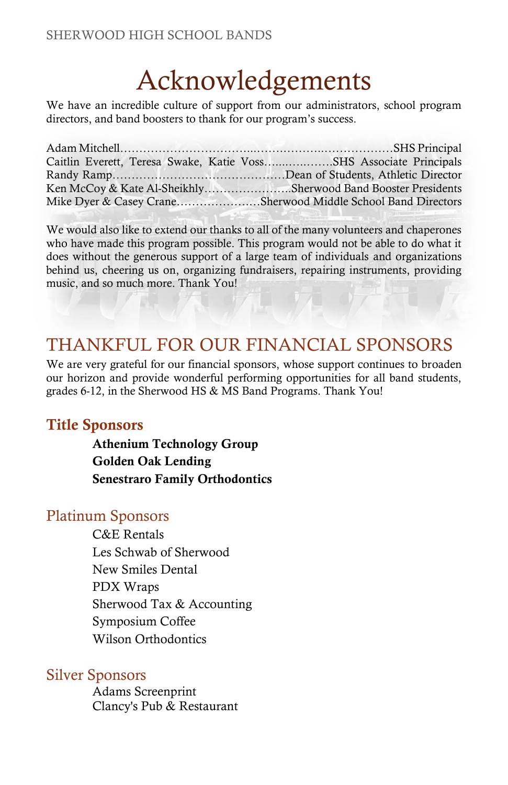# Acknowledgements

We have an incredible culture of support from our administrators, school program directors, and band boosters to thank for our program's success.

| Caitlin Everett, Teresa Swake, Katie VossSHS Associate Principals |
|-------------------------------------------------------------------|
|                                                                   |
| Ken McCoy & Kate Al-SheikhlySherwood Band Booster Presidents      |
| Mike Dyer & Casey CraneSherwood Middle School Band Directors      |

We would also like to extend our thanks to all of the many volunteers and chaperones who have made this program possible. This program would not be able to do what it does without the generous support of a large team of individuals and organizations behind us, cheering us on, organizing fundraisers, repairing instruments, providing music, and so much more. Thank You!

# THANKFUL FOR OUR FINANCIAL SPONSORS

We are very grateful for our financial sponsors, whose support continues to broaden our horizon and provide wonderful performing opportunities for all band students, grades 6-12, in the Sherwood HS & MS Band Programs. Thank You!

# Title Sponsors

Athenium Technology Group Golden Oak Lending Senestraro Family Orthodontics

# Platinum Sponsors

C&E Rentals Les Schwab of Sherwood New Smiles Dental PDX Wraps Sherwood Tax & Accounting Symposium Coffee Wilson Orthodontics

# Silver Sponsors

Adams Screenprint Clancy's Pub & Restaurant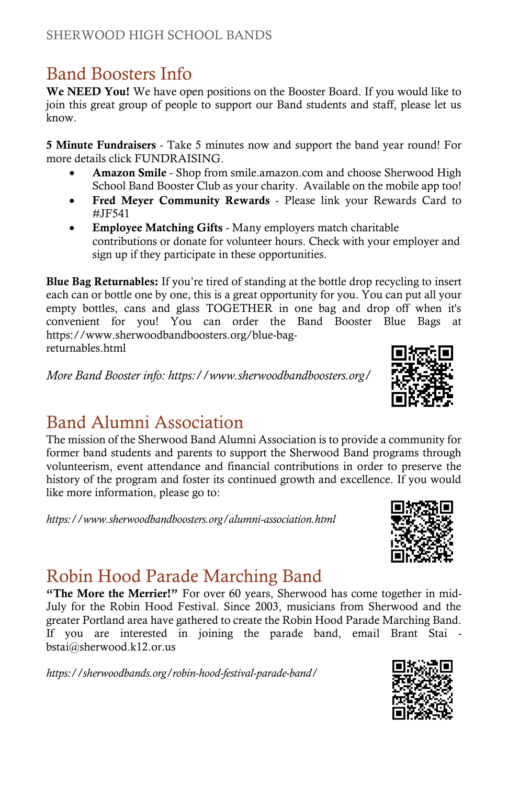# Band Boosters Info

We NEED You! We have open positions on the Booster Board. If you would like to join this great group of people to support our Band students and staff, please let us know.

5 Minute Fundraisers - Take 5 minutes now and support the band year round! For more details click FUNDRAISING.

- Amazon Smile Shop from smile.amazon.com and choose Sherwood High School Band Booster Club as your charity. Available on the mobile app too!
- Fred Meyer Community Rewards Please link your Rewards Card to #JF541
- Employee Matching Gifts Many employers match charitable contributions or donate for volunteer hours. Check with your employer and sign up if they participate in these opportunities.

Blue Bag Returnables: If you're tired of standing at the bottle drop recycling to insert each can or bottle one by one, this is a great opportunity for you. You can put all your empty bottles, cans and glass TOGETHER in one bag and drop off when it's convenient for you! You can order the Band Booster Blue Bags at https://www.sherwoodbandboosters.org/blue-bagreturnables.html

*More Band Booster info: https://www.sherwoodbandboosters.org/*

# Band Alumni Association

The mission of the Sherwood Band Alumni Association is to provide a community for former band students and parents to support the Sherwood Band programs through volunteerism, event attendance and financial contributions in order to preserve the history of the program and foster its continued growth and excellence. If you would like more information, please go to:

*https://www.sherwoodbandboosters.org/alumni-association.html*

# Robin Hood Parade Marching Band

"The More the Merrier!" For over 60 years, Sherwood has come together in mid-July for the Robin Hood Festival. Since 2003, musicians from Sherwood and the greater Portland area have gathered to create the Robin Hood Parade Marching Band. If you are interested in joining the parade band, email Brant Stai bstai@sherwood.k12.or.us

*https://sherwoodbands.org/robin-hood-festival-parade-band/*